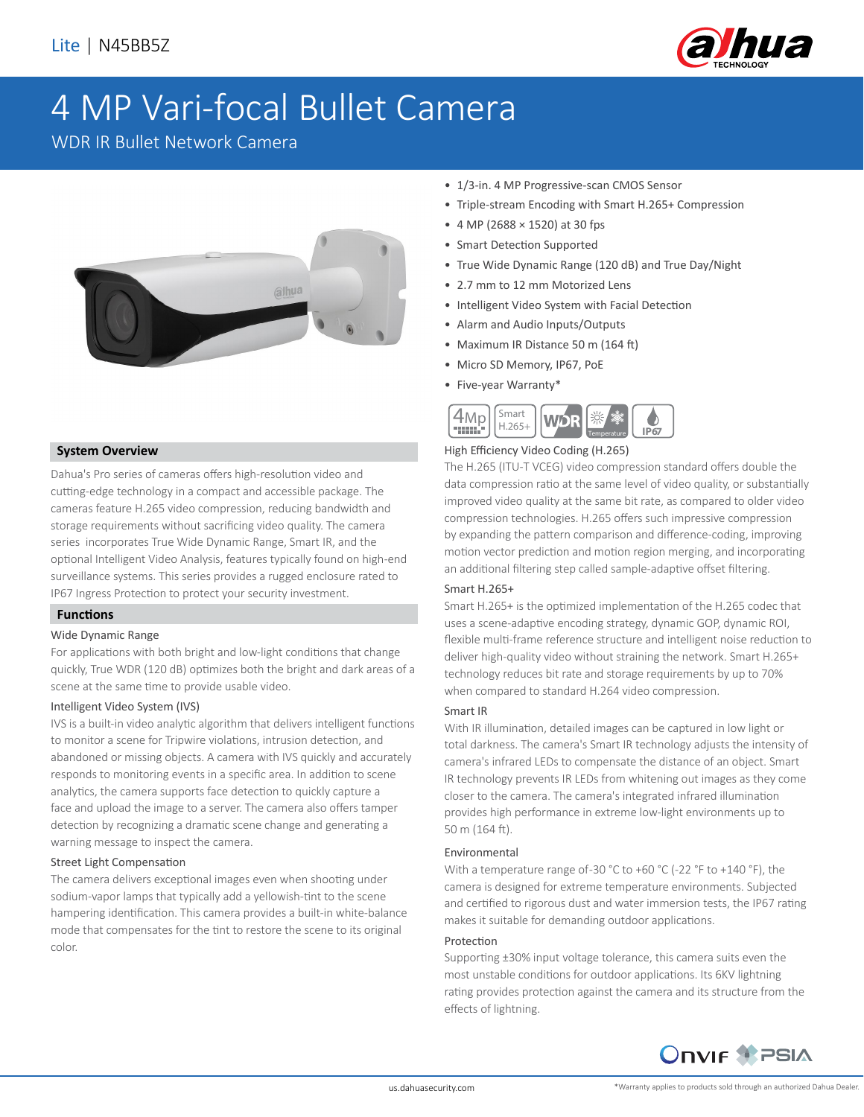

# 4 MP Vari-focal Bullet Camera

WDR IR Bullet Network Camera



## **System Overview**

Dahua's Pro series of cameras offers high-resolution video and cutting-edge technology in a compact and accessible package. The cameras feature H.265 video compression, reducing bandwidth and storage requirements without sacrificing video quality. The camera series incorporates True Wide Dynamic Range, Smart IR, and the optional Intelligent Video Analysis, features typically found on high-end surveillance systems. This series provides a rugged enclosure rated to IP67 Ingress Protection to protect your security investment.

#### **Functions**

#### Wide Dynamic Range

For applications with both bright and low-light conditions that change quickly, True WDR (120 dB) optimizes both the bright and dark areas of a scene at the same time to provide usable video.

#### Intelligent Video System (IVS)

IVS is a built-in video analytic algorithm that delivers intelligent functions to monitor a scene for Tripwire violations, intrusion detection, and abandoned or missing objects. A camera with IVS quickly and accurately responds to monitoring events in a specific area. In addition to scene analytics, the camera supports face detection to quickly capture a face and upload the image to a server. The camera also offers tamper detection by recognizing a dramatic scene change and generating a warning message to inspect the camera.

#### Street Light Compensation

The camera delivers exceptional images even when shooting under sodium-vapor lamps that typically add a yellowish-tint to the scene hampering identification. This camera provides a built-in white-balance mode that compensates for the tint to restore the scene to its original color.

- 1/3-in. 4 MP Progressive-scan CMOS Sensor
- Triple-stream Encoding with Smart H.265+ Compression
- 4 MP (2688 × 1520) at 30 fps
- Smart Detection Supported
- True Wide Dynamic Range (120 dB) and True Day/Night
- 2.7 mm to 12 mm Motorized Lens
- Intelligent Video System with Facial Detection
- Alarm and Audio Inputs/Outputs
- Maximum IR Distance 50 m (164 ft)
- Micro SD Memory, IP67, PoE
- Five-year Warranty\*



#### High Efficiency Video Coding (H.265)

The H.265 (ITU-T VCEG) video compression standard offers double the data compression ratio at the same level of video quality, or substantially improved video quality at the same bit rate, as compared to older video compression technologies. H.265 offers such impressive compression by expanding the pattern comparison and difference-coding, improving motion vector prediction and motion region merging, and incorporating an additional filtering step called sample-adaptive offset filtering.

#### Smart H.265+

Smart H.265+ is the optimized implementation of the H.265 codec that uses a scene-adaptive encoding strategy, dynamic GOP, dynamic ROI, flexible multi-frame reference structure and intelligent noise reduction to deliver high-quality video without straining the network. Smart H.265+ technology reduces bit rate and storage requirements by up to 70% when compared to standard H.264 video compression.

#### Smart IR

With IR illumination, detailed images can be captured in low light or total darkness. The camera's Smart IR technology adjusts the intensity of camera's infrared LEDs to compensate the distance of an object. Smart IR technology prevents IR LEDs from whitening out images as they come closer to the camera. The camera's integrated infrared illumination provides high performance in extreme low-light environments up to 50 m (164 ft).

#### Environmental

With a temperature range of-30 °C to +60 °C (-22 °F to +140 °F), the camera is designed for extreme temperature environments. Subjected and certified to rigorous dust and water immersion tests, the IP67 rating makes it suitable for demanding outdoor applications.

#### Protection

Supporting ±30% input voltage tolerance, this camera suits even the most unstable conditions for outdoor applications. Its 6KV lightning rating provides protection against the camera and its structure from the effects of lightning.



us.dahuasecurity.com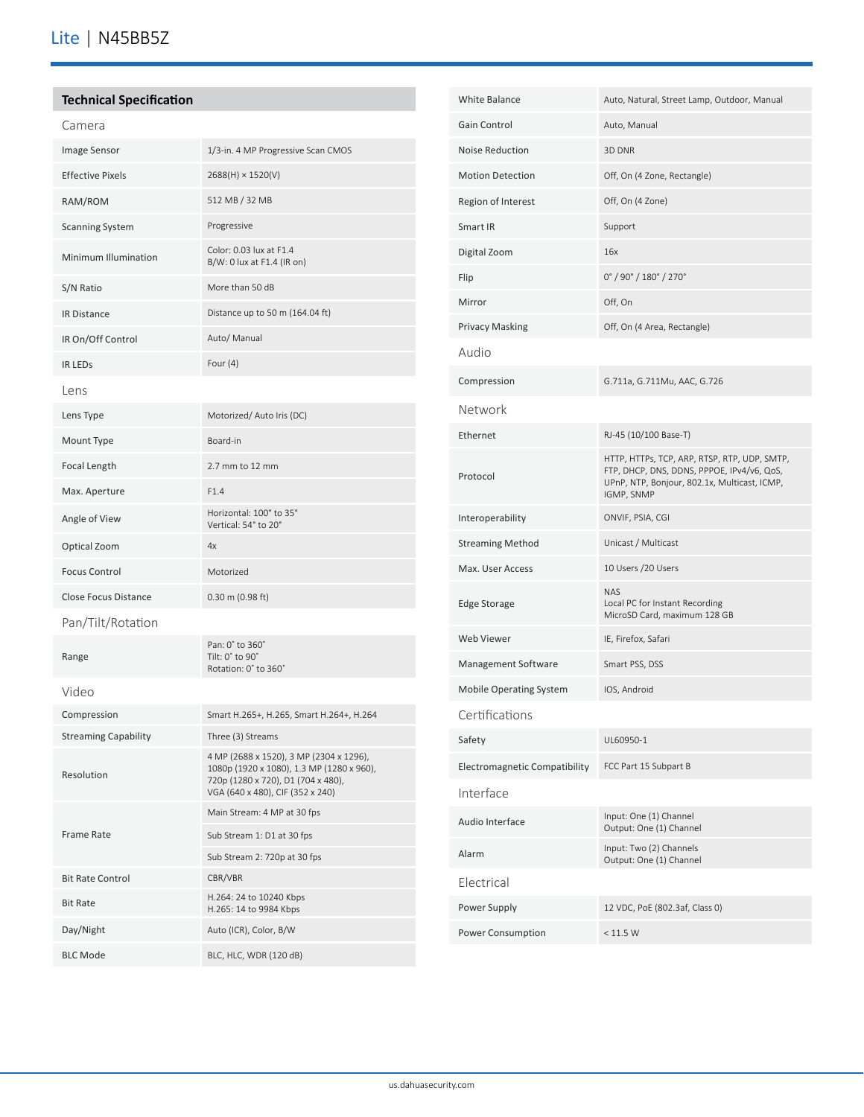# **Technical Specification**

| Camera                      |                                                                                                                                                                |  |
|-----------------------------|----------------------------------------------------------------------------------------------------------------------------------------------------------------|--|
| Image Sensor                | 1/3-in. 4 MP Progressive Scan CMOS                                                                                                                             |  |
| <b>Effective Pixels</b>     | 2688(H) × 1520(V)                                                                                                                                              |  |
| RAM/ROM                     | 512 MB / 32 MB                                                                                                                                                 |  |
| <b>Scanning System</b>      | Progressive                                                                                                                                                    |  |
| Minimum Illumination        | Color: 0.03 lux at F1.4<br>B/W: 0 lux at F1.4 (IR on)                                                                                                          |  |
| S/N Ratio                   | More than 50 dB                                                                                                                                                |  |
| <b>IR Distance</b>          | Distance up to 50 m (164.04 ft)                                                                                                                                |  |
| IR On/Off Control           | Auto/ Manual                                                                                                                                                   |  |
| <b>IR LEDS</b>              | Four $(4)$                                                                                                                                                     |  |
| Lens                        |                                                                                                                                                                |  |
| Lens Type                   | Motorized/ Auto Iris (DC)                                                                                                                                      |  |
| Mount Type                  | Board-in                                                                                                                                                       |  |
| Focal Length                | 2.7 mm to 12 mm                                                                                                                                                |  |
| Max. Aperture               | F1.4                                                                                                                                                           |  |
| Angle of View               | Horizontal: 100° to 35°<br>Vertical: 54° to 20°                                                                                                                |  |
| Optical Zoom                | 4x                                                                                                                                                             |  |
| <b>Focus Control</b>        | Motorized                                                                                                                                                      |  |
| Close Focus Distance        | 0.30 m (0.98 ft)                                                                                                                                               |  |
| Pan/Tilt/Rotation           |                                                                                                                                                                |  |
| Range                       | Pan: 0° to 360°<br>Tilt: 0° to 90°<br>Rotation: 0° to 360°                                                                                                     |  |
| Video                       |                                                                                                                                                                |  |
| Compression                 | Smart H.265+, H.265, Smart H.264+, H.264                                                                                                                       |  |
| <b>Streaming Capability</b> | Three (3) Streams                                                                                                                                              |  |
| Resolution                  | 4 MP (2688 x 1520), 3 MP (2304 x 1296),<br>1080p (1920 x 1080), 1.3 MP (1280 x 960),<br>720p (1280 x 720), D1 (704 x 480),<br>VGA (640 x 480), CIF (352 x 240) |  |
| <b>Frame Rate</b>           | Main Stream: 4 MP at 30 fps                                                                                                                                    |  |
|                             | Sub Stream 1: D1 at 30 fps                                                                                                                                     |  |
|                             | Sub Stream 2: 720p at 30 fps                                                                                                                                   |  |
| <b>Bit Rate Control</b>     | CBR/VBR<br>H.264: 24 to 10240 Kbps                                                                                                                             |  |
| <b>Bit Rate</b>             | H.265: 14 to 9984 Kbps                                                                                                                                         |  |
| Day/Night                   | Auto (ICR), Color, B/W                                                                                                                                         |  |
| <b>BLC Mode</b>             | BLC, HLC, WDR (120 dB)                                                                                                                                         |  |

| <b>White Balance</b>           | Auto, Natural, Street Lamp, Outdoor, Manual                                                                                                              |  |
|--------------------------------|----------------------------------------------------------------------------------------------------------------------------------------------------------|--|
| Gain Control                   | Auto, Manual                                                                                                                                             |  |
| <b>Noise Reduction</b>         | 3D DNR                                                                                                                                                   |  |
| <b>Motion Detection</b>        | Off, On (4 Zone, Rectangle)                                                                                                                              |  |
| Region of Interest             | Off, On (4 Zone)                                                                                                                                         |  |
| Smart IR                       | Support                                                                                                                                                  |  |
| Digital Zoom                   | 16x                                                                                                                                                      |  |
| Flip                           | $0^{\circ}$ / 90 $^{\circ}$ / 180 $^{\circ}$ / 270 $^{\circ}$                                                                                            |  |
| Mirror                         | Off, On                                                                                                                                                  |  |
| <b>Privacy Masking</b>         | Off, On (4 Area, Rectangle)                                                                                                                              |  |
| Audio                          |                                                                                                                                                          |  |
| Compression                    | G.711a, G.711Mu, AAC, G.726                                                                                                                              |  |
| Network                        |                                                                                                                                                          |  |
| Ethernet                       | RJ-45 (10/100 Base-T)                                                                                                                                    |  |
| Protocol                       | HTTP, HTTPs, TCP, ARP, RTSP, RTP, UDP, SMTP,<br>FTP, DHCP, DNS, DDNS, PPPOE, IPv4/v6, QoS,<br>UPnP, NTP, Bonjour, 802.1x, Multicast, ICMP,<br>IGMP, SNMP |  |
| Interoperability               | ONVIF, PSIA, CGI                                                                                                                                         |  |
| <b>Streaming Method</b>        | Unicast / Multicast                                                                                                                                      |  |
| Max. User Access               | 10 Users /20 Users                                                                                                                                       |  |
| <b>Edge Storage</b>            | <b>NAS</b><br>Local PC for Instant Recording<br>MicroSD Card, maximum 128 GB                                                                             |  |
| Web Viewer                     | IE, Firefox, Safari                                                                                                                                      |  |
| Management Software            | Smart PSS, DSS                                                                                                                                           |  |
| <b>Mobile Operating System</b> | IOS, Android                                                                                                                                             |  |
| Certifications                 |                                                                                                                                                          |  |
| Safety                         | UL60950-1                                                                                                                                                |  |
| Electromagnetic Compatibility  | FCC Part 15 Subpart B                                                                                                                                    |  |
| Interface                      |                                                                                                                                                          |  |
| Audio Interface                | Input: One (1) Channel<br>Output: One (1) Channel                                                                                                        |  |
| Alarm                          | Input: Two (2) Channels<br>Output: One (1) Channel                                                                                                       |  |
| Flectrical                     |                                                                                                                                                          |  |
| Power Supply                   | 12 VDC, PoE (802.3af, Class 0)                                                                                                                           |  |
| Power Consumption              | < 11.5 W                                                                                                                                                 |  |